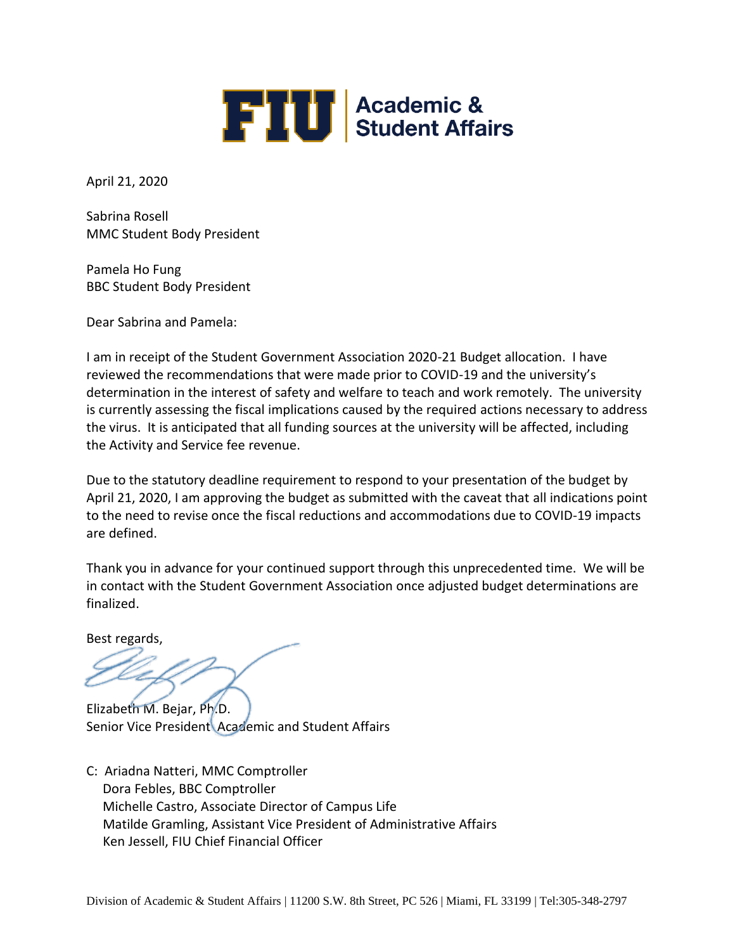

April 21, 2020

Sabrina Rosell MMC Student Body President

Pamela Ho Fung BBC Student Body President

Dear Sabrina and Pamela:

I am in receipt of the Student Government Association 2020-21 Budget allocation. I have reviewed the recommendations that were made prior to COVID-19 and the university's determination in the interest of safety and welfare to teach and work remotely. The university is currently assessing the fiscal implications caused by the required actions necessary to address the virus. It is anticipated that all funding sources at the university will be affected, including the Activity and Service fee revenue.

Due to the statutory deadline requirement to respond to your presentation of the budget by April 21, 2020, I am approving the budget as submitted with the caveat that all indications point to the need to revise once the fiscal reductions and accommodations due to COVID-19 impacts are defined.

Thank you in advance for your continued support through this unprecedented time. We will be in contact with the Student Government Association once adjusted budget determinations are finalized.

Best regards,

Elizabeth M. Bejar, Ph.D. Senior Vice President Academic and Student Affairs

C: [Ariadna Natteri,](mailto:comptrol@fiu.edu) MMC Comptroller Dora Febles, BBC Comptroller Michelle Castro, Associate Director of Campus Life Matilde Gramling, Assistant Vice President of Administrative Affairs Ken Jessell, FIU Chief Financial Officer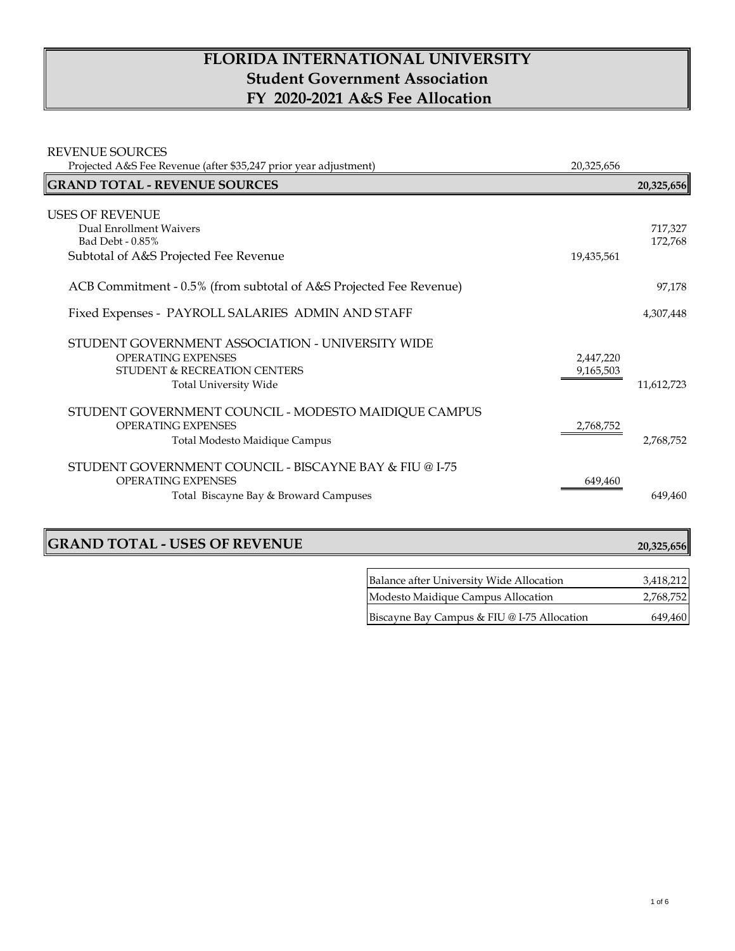# **FLORIDA INTERNATIONAL UNIVERSITY Student Government Association FY 2020-2021 A&S Fee Allocation**

| <b>REVENUE SOURCES</b>                                             |            |            |
|--------------------------------------------------------------------|------------|------------|
| Projected A&S Fee Revenue (after \$35,247 prior year adjustment)   | 20,325,656 |            |
| <b>GRAND TOTAL - REVENUE SOURCES</b>                               |            | 20,325,656 |
| <b>USES OF REVENUE</b>                                             |            |            |
| Dual Enrollment Waivers                                            |            | 717,327    |
| Bad Debt - 0.85%                                                   |            | 172,768    |
| Subtotal of A&S Projected Fee Revenue                              | 19,435,561 |            |
| ACB Commitment - 0.5% (from subtotal of A&S Projected Fee Revenue) |            | 97,178     |
| Fixed Expenses - PAYROLL SALARIES ADMIN AND STAFF                  |            | 4,307,448  |
| STUDENT GOVERNMENT ASSOCIATION - UNIVERSITY WIDE                   |            |            |
| <b>OPERATING EXPENSES</b>                                          | 2,447,220  |            |
| <b>STUDENT &amp; RECREATION CENTERS</b>                            | 9,165,503  |            |
| <b>Total University Wide</b>                                       |            | 11,612,723 |
| STUDENT GOVERNMENT COUNCIL - MODESTO MAIDIQUE CAMPUS               |            |            |
| <b>OPERATING EXPENSES</b>                                          | 2,768,752  |            |
| Total Modesto Maidique Campus                                      |            | 2,768,752  |
| STUDENT GOVERNMENT COUNCIL - BISCAYNE BAY & FIU @ I-75             |            |            |
| <b>OPERATING EXPENSES</b>                                          | 649,460    |            |
| Total Biscayne Bay & Broward Campuses                              |            | 649.460    |

 $\mathbf{r}$ 

## **GRAND TOTAL - USES OF REVENUE 20,325,656**

| Balance after University Wide Allocation    | 3,418,212 |
|---------------------------------------------|-----------|
| Modesto Maidique Campus Allocation          | 2,768,752 |
| Biscayne Bay Campus & FIU @ I-75 Allocation | 649,460   |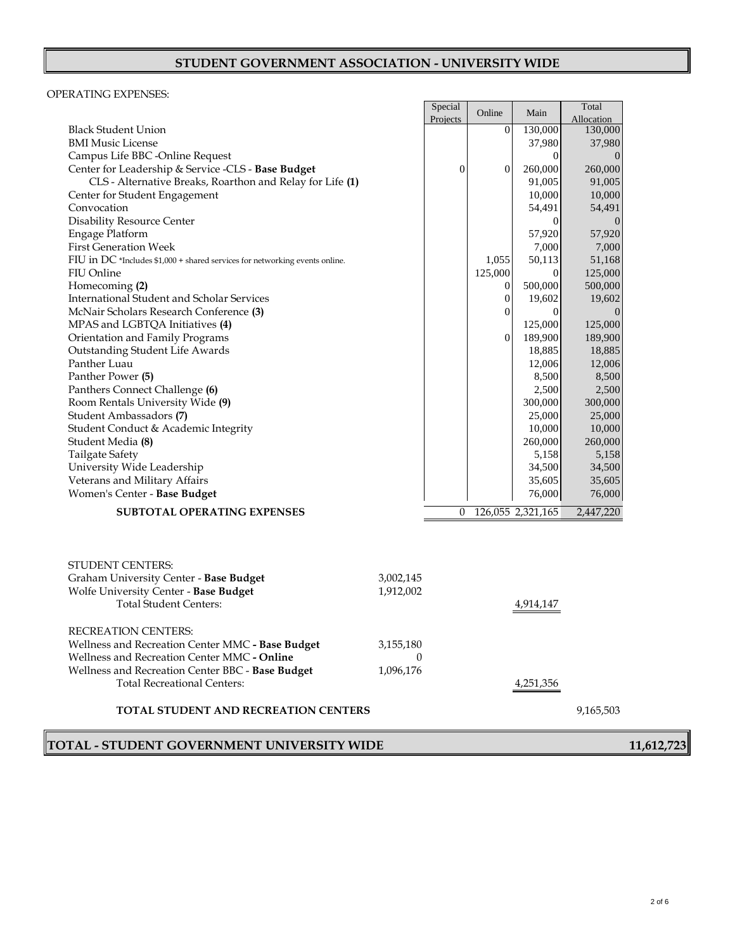### **STUDENT GOVERNMENT ASSOCIATION - UNIVERSITY WIDE**

#### OPERATING EXPENSES:

|                                                                              |           | Special        | Online           | Main              | Total      |
|------------------------------------------------------------------------------|-----------|----------------|------------------|-------------------|------------|
|                                                                              |           | Projects       |                  |                   | Allocation |
| <b>Black Student Union</b>                                                   |           |                | $\boldsymbol{0}$ | 130,000           | 130,000    |
| <b>BMI Music License</b>                                                     |           |                |                  | 37,980            | 37,980     |
| Campus Life BBC -Online Request                                              |           |                |                  | $\overline{0}$    | $\theta$   |
| Center for Leadership & Service -CLS - Base Budget                           |           | $\overline{0}$ | $\boldsymbol{0}$ | 260,000           | 260,000    |
| CLS - Alternative Breaks, Roarthon and Relay for Life (1)                    |           |                |                  | 91,005            | 91,005     |
| Center for Student Engagement                                                |           |                |                  | 10,000            | 10,000     |
| Convocation                                                                  |           |                |                  | 54,491            | 54,491     |
| <b>Disability Resource Center</b>                                            |           |                |                  | 0                 | $\theta$   |
| Engage Platform                                                              |           |                |                  | 57,920            | 57,920     |
| <b>First Generation Week</b>                                                 |           |                |                  | 7,000             | 7,000      |
| FIU in DC *Includes $$1,000 +$ shared services for networking events online. |           |                | 1.055            | 50,113            | 51,168     |
| FIU Online                                                                   |           |                | 125,000          | $\overline{0}$    | 125,000    |
| Homecoming (2)                                                               |           |                | $\boldsymbol{0}$ | 500,000           | 500,000    |
| International Student and Scholar Services                                   |           |                | $\boldsymbol{0}$ | 19,602            | 19,602     |
| McNair Scholars Research Conference (3)                                      |           |                | $\boldsymbol{0}$ | $\mathbf{0}$      | $\theta$   |
| MPAS and LGBTQA Initiatives (4)                                              |           |                |                  | 125,000           | 125,000    |
| Orientation and Family Programs                                              |           |                | $\mathbf{0}$     | 189,900           | 189,900    |
| Outstanding Student Life Awards                                              |           |                |                  | 18,885            | 18,885     |
| Panther Luau                                                                 |           |                |                  | 12,006            | 12,006     |
| Panther Power (5)                                                            |           |                |                  | 8,500             | 8,500      |
| Panthers Connect Challenge (6)                                               |           |                |                  | 2,500             | 2,500      |
| Room Rentals University Wide (9)                                             |           |                |                  | 300,000           | 300,000    |
| Student Ambassadors (7)                                                      |           |                |                  | 25,000            | 25,000     |
| Student Conduct & Academic Integrity                                         |           |                |                  | 10,000            | 10,000     |
| Student Media (8)                                                            |           |                |                  | 260,000           | 260,000    |
| <b>Tailgate Safety</b>                                                       |           |                |                  | 5,158             | 5,158      |
| University Wide Leadership                                                   |           |                |                  | 34,500            | 34,500     |
| Veterans and Military Affairs                                                |           |                |                  | 35,605            | 35,605     |
| Women's Center - Base Budget                                                 |           |                |                  | 76,000            | 76,000     |
| SUBTOTAL OPERATING EXPENSES                                                  |           | $\theta$       |                  | 126,055 2,321,165 | 2,447,220  |
|                                                                              |           |                |                  |                   |            |
|                                                                              |           |                |                  |                   |            |
|                                                                              |           |                |                  |                   |            |
| <b>STUDENT CENTERS:</b>                                                      |           |                |                  |                   |            |
| Graham University Center - Base Budget                                       | 3,002,145 |                |                  |                   |            |
| Wolfe University Center - Base Budget                                        | 1,912,002 |                |                  |                   |            |
| <b>Total Student Centers:</b>                                                |           |                |                  | 4,914,147         |            |
|                                                                              |           |                |                  |                   |            |
| <b>RECREATION CENTERS:</b>                                                   |           |                |                  |                   |            |
| Wellness and Recreation Center MMC - Base Budget                             | 3,155,180 |                |                  |                   |            |
| Wellness and Recreation Center MMC - Online                                  | $\theta$  |                |                  |                   |            |
| Wellness and Recreation Center BBC - Base Budget                             | 1,096,176 |                |                  |                   |            |
| <b>Total Recreational Centers:</b>                                           |           |                |                  | 4,251,356         |            |
|                                                                              |           |                |                  |                   |            |
| <b>TOTAL STUDENT AND RECREATION CENTERS</b>                                  |           |                |                  |                   | 9,165,503  |
|                                                                              |           |                |                  |                   |            |

## **TOTAL - STUDENT GOVERNMENT UNIVERSITY WIDE 11,612,723**

2 of 6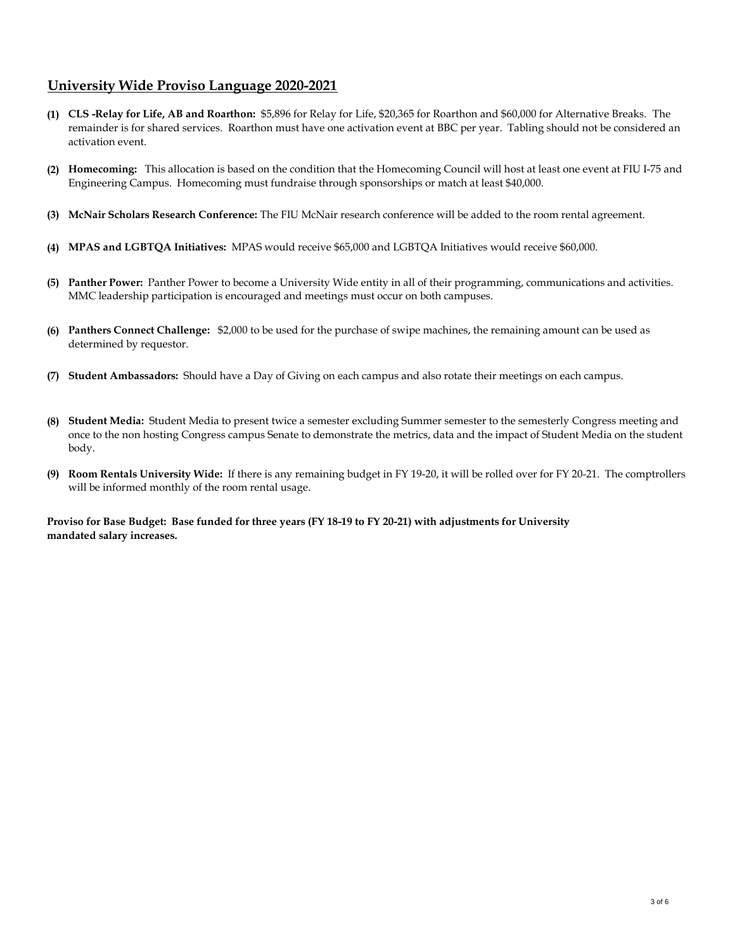## **University Wide Proviso Language 2020-2021**

- **(1) CLS -Relay for Life, AB and Roarthon:** \$5,896 for Relay for Life, \$20,365 for Roarthon and \$60,000 for Alternative Breaks.The remainder is for shared services.Roarthon must have one activation event at BBC per year. Tabling should not be considered an activation event.
- **(2) Homecoming:** This allocation is based on the condition that the Homecoming Council will host at least one event at FIU I-75 and Engineering Campus. Homecoming must fundraise through sponsorships or match at least \$40,000.
- **(3) McNair Scholars Research Conference:** The FIU McNair research conference will be added to the room rental agreement.
- **(4) MPAS and LGBTQA Initiatives:** MPAS would receive \$65,000 and LGBTQA Initiatives would receive \$60,000.
- **(5) Panther Power:** Panther Power to become a University Wide entity in all of their programming, communications and activities. MMC leadership participation is encouraged and meetings must occur on both campuses.
- **(6) Panthers Connect Challenge:** \$2,000 to be used for the purchase of swipe machines, the remaining amount can be used as determined by requestor.
- **(7) Student Ambassadors:** Should have a Day of Giving on each campus and also rotate their meetings on each campus.
- **(8) Student Media:** Student Media to present twice a semester excluding Summer semester to the semesterly Congress meeting and once to the non hosting Congress campus Senate to demonstrate the metrics, data and the impact of Student Media on the student body.
- **(9) Room Rentals University Wide:** If there is any remaining budget in FY 19-20, it will be rolled over for FY 20-21. The comptrollers will be informed monthly of the room rental usage.

**Proviso for Base Budget: Base funded for three years (FY 18-19 to FY 20-21) with adjustments for University mandated salary increases.**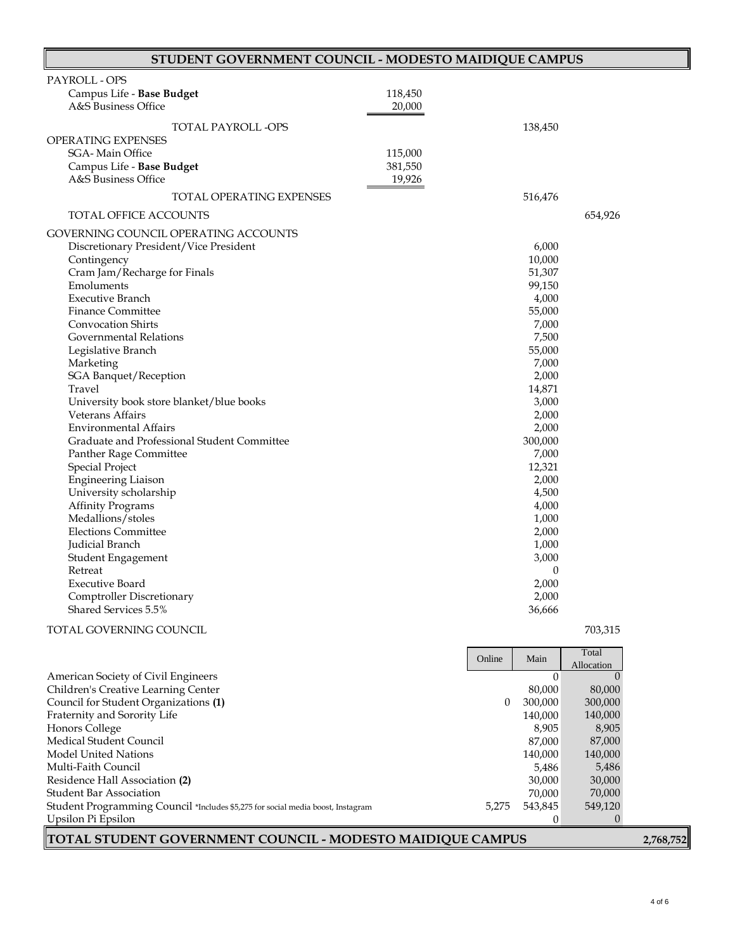| STUDENT GOVERNMENT COUNCIL - MODESTO MAIDIQUE CAMPUS |         |                  |  |
|------------------------------------------------------|---------|------------------|--|
| PAYROLL - OPS                                        |         |                  |  |
| Campus Life - Base Budget                            | 118,450 |                  |  |
| A&S Business Office                                  | 20,000  |                  |  |
|                                                      |         |                  |  |
| TOTAL PAYROLL -OPS                                   |         | 138,450          |  |
| OPERATING EXPENSES                                   |         |                  |  |
| SGA-Main Office                                      | 115,000 |                  |  |
| Campus Life - Base Budget                            | 381,550 |                  |  |
| A&S Business Office                                  | 19,926  |                  |  |
| <b>TOTAL OPERATING EXPENSES</b>                      |         | 516,476          |  |
| TOTAL OFFICE ACCOUNTS                                |         | 654,926          |  |
| GOVERNING COUNCIL OPERATING ACCOUNTS                 |         |                  |  |
| Discretionary President/Vice President               |         | 6,000            |  |
| Contingency                                          |         | 10,000           |  |
| Cram Jam/Recharge for Finals                         |         | 51,307           |  |
| Emoluments                                           |         | 99,150           |  |
| <b>Executive Branch</b>                              |         | 4,000            |  |
| <b>Finance Committee</b>                             |         | 55,000           |  |
| <b>Convocation Shirts</b>                            |         | 7,000            |  |
| Governmental Relations                               |         | 7,500            |  |
| Legislative Branch                                   |         | 55,000           |  |
| Marketing                                            |         | 7,000            |  |
| <b>SGA Banquet/Reception</b>                         |         | 2,000            |  |
| Travel                                               |         | 14,871           |  |
| University book store blanket/blue books             |         | 3,000            |  |
| Veterans Affairs                                     |         | 2,000            |  |
| <b>Environmental Affairs</b>                         |         | 2,000            |  |
| Graduate and Professional Student Committee          |         | 300,000          |  |
| Panther Rage Committee                               |         | 7,000            |  |
| <b>Special Project</b>                               |         | 12,321           |  |
| <b>Engineering Liaison</b>                           |         | 2,000            |  |
| University scholarship                               |         | 4,500            |  |
| <b>Affinity Programs</b>                             |         | 4,000            |  |
| Medallions/stoles                                    |         | 1,000            |  |
| <b>Elections Committee</b>                           |         | 2,000            |  |
| Judicial Branch                                      |         | 1,000            |  |
| Student Engagement                                   |         | 3,000            |  |
| Retreat                                              |         | $\boldsymbol{0}$ |  |
| <b>Executive Board</b>                               |         | 2,000            |  |
| Comptroller Discretionary                            |         | 2,000            |  |
| Shared Services 5.5%                                 |         | 36,666           |  |

#### TOTAL GOVERNING COUNCIL 703,315

|                                                                                 | Online |         | Main       | Total |
|---------------------------------------------------------------------------------|--------|---------|------------|-------|
|                                                                                 |        |         | Allocation |       |
| American Society of Civil Engineers                                             |        | $\cup$  |            |       |
| Children's Creative Learning Center                                             |        | 80.000  | 80,000     |       |
| Council for Student Organizations (1)                                           | 0      | 300,000 | 300,000    |       |
| Fraternity and Sorority Life                                                    |        | 140,000 | 140,000    |       |
| Honors College                                                                  |        | 8.905   | 8,905      |       |
| Medical Student Council                                                         |        | 87.000  | 87,000     |       |
| Model United Nations                                                            |        | 140,000 | 140,000    |       |
| Multi-Faith Council                                                             |        | 5.486   | 5,486      |       |
| Residence Hall Association (2)                                                  |        | 30,000  | 30,000     |       |
| <b>Student Bar Association</b>                                                  |        | 70.000  | 70,000     |       |
| Student Programming Council *Includes \$5,275 for social media boost, Instagram | 5.275  | 543.845 | 549,120    |       |
| Upsilon Pi Epsilon                                                              |        | ∩       |            |       |

**TOTAL STUDENT GOVERNMENT COUNCIL - MODESTO MAIDIQUE CAMPUS 2,768,752**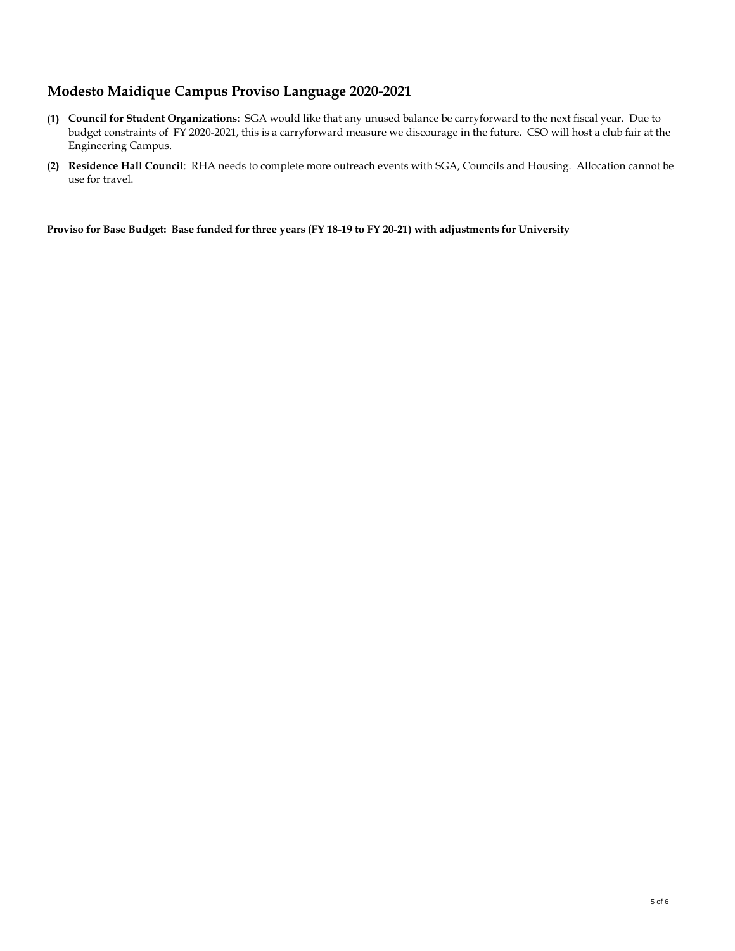## **Modesto Maidique Campus Proviso Language 2020-2021**

- **(1) Council for Student Organizations**: SGA would like that any unused balance be carryforward to the next fiscal year. Due to budget constraints of FY 2020-2021, this is a carryforward measure we discourage in the future. CSO will host a club fair at the Engineering Campus.
- **(2) Residence Hall Council**: RHA needs to complete more outreach events with SGA, Councils and Housing. Allocation cannot be use for travel.

**Proviso for Base Budget: Base funded for three years (FY 18-19 to FY 20-21) with adjustments for University**